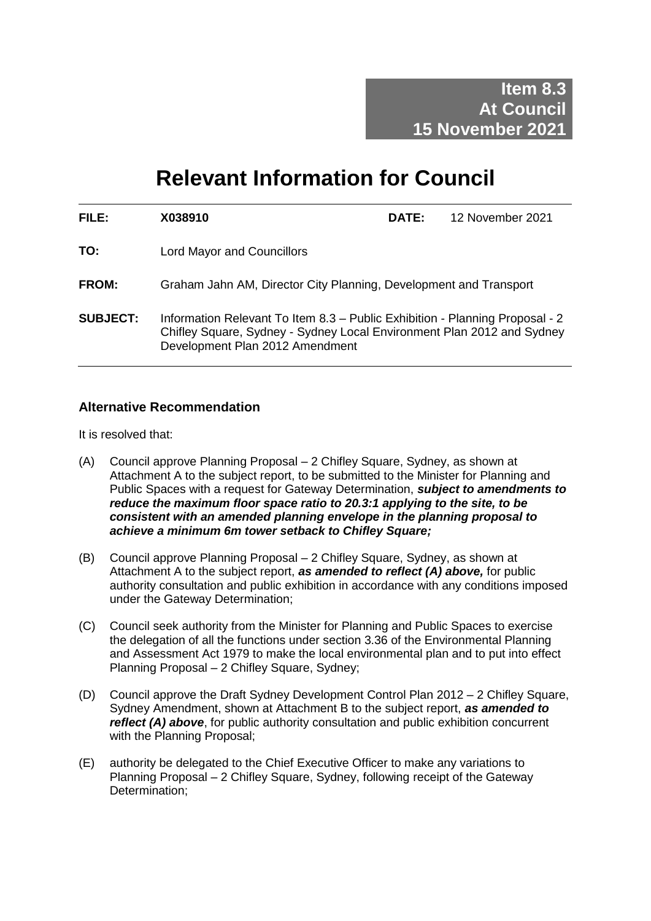# **Relevant Information for Council**

| FILE:           | X038910                                                                                                                                                                                   | <b>DATE:</b> | 12 November 2021 |
|-----------------|-------------------------------------------------------------------------------------------------------------------------------------------------------------------------------------------|--------------|------------------|
| TO:             | Lord Mayor and Councillors                                                                                                                                                                |              |                  |
| <b>FROM:</b>    | Graham Jahn AM, Director City Planning, Development and Transport                                                                                                                         |              |                  |
| <b>SUBJECT:</b> | Information Relevant To Item 8.3 - Public Exhibition - Planning Proposal - 2<br>Chifley Square, Sydney - Sydney Local Environment Plan 2012 and Sydney<br>Development Plan 2012 Amendment |              |                  |

## **Alternative Recommendation**

It is resolved that:

- (A) Council approve Planning Proposal 2 Chifley Square, Sydney, as shown at Attachment A to the subject report, to be submitted to the Minister for Planning and Public Spaces with a request for Gateway Determination, *subject to amendments to reduce the maximum floor space ratio to 20.3:1 applying to the site, to be consistent with an amended planning envelope in the planning proposal to achieve a minimum 6m tower setback to Chifley Square;*
- (B) Council approve Planning Proposal 2 Chifley Square, Sydney, as shown at Attachment A to the subject report, *as amended to reflect (A) above,* for public authority consultation and public exhibition in accordance with any conditions imposed under the Gateway Determination;
- (C) Council seek authority from the Minister for Planning and Public Spaces to exercise the delegation of all the functions under section 3.36 of the Environmental Planning and Assessment Act 1979 to make the local environmental plan and to put into effect Planning Proposal – 2 Chifley Square, Sydney:
- (D) Council approve the Draft Sydney Development Control Plan 2012 2 Chifley Square, Sydney Amendment, shown at Attachment B to the subject report, *as amended to reflect (A) above*, for public authority consultation and public exhibition concurrent with the Planning Proposal;
- (E) authority be delegated to the Chief Executive Officer to make any variations to Planning Proposal – 2 Chifley Square, Sydney, following receipt of the Gateway Determination;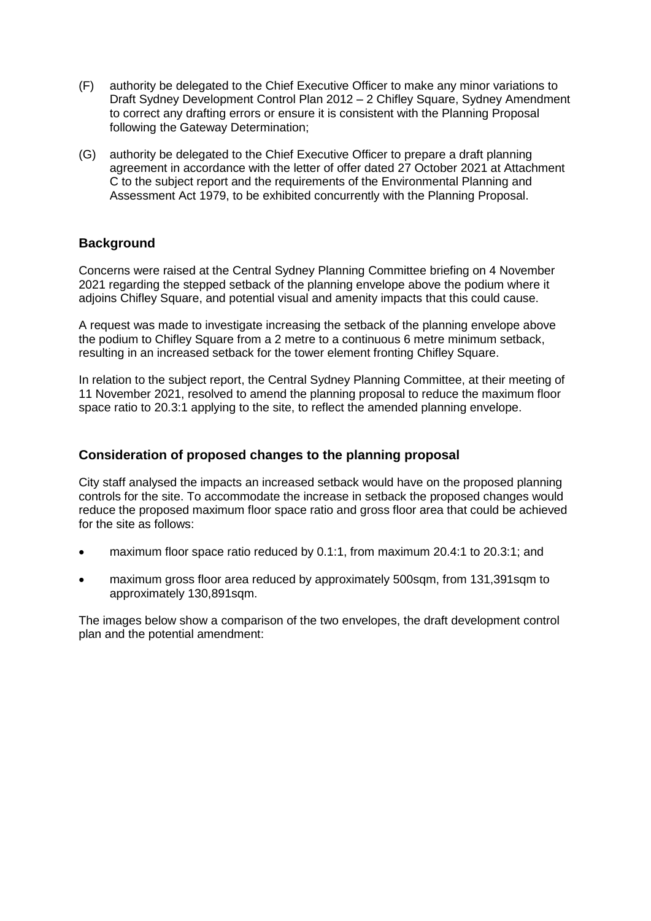- (F) authority be delegated to the Chief Executive Officer to make any minor variations to Draft Sydney Development Control Plan 2012 – 2 Chifley Square, Sydney Amendment to correct any drafting errors or ensure it is consistent with the Planning Proposal following the Gateway Determination;
- (G) authority be delegated to the Chief Executive Officer to prepare a draft planning agreement in accordance with the letter of offer dated 27 October 2021 at Attachment C to the subject report and the requirements of the Environmental Planning and Assessment Act 1979, to be exhibited concurrently with the Planning Proposal.

## **Background**

Concerns were raised at the Central Sydney Planning Committee briefing on 4 November 2021 regarding the stepped setback of the planning envelope above the podium where it adjoins Chifley Square, and potential visual and amenity impacts that this could cause.

A request was made to investigate increasing the setback of the planning envelope above the podium to Chifley Square from a 2 metre to a continuous 6 metre minimum setback, resulting in an increased setback for the tower element fronting Chifley Square.

In relation to the subject report, the Central Sydney Planning Committee, at their meeting of 11 November 2021, resolved to amend the planning proposal to reduce the maximum floor space ratio to 20.3:1 applying to the site, to reflect the amended planning envelope.

## **Consideration of proposed changes to the planning proposal**

City staff analysed the impacts an increased setback would have on the proposed planning controls for the site. To accommodate the increase in setback the proposed changes would reduce the proposed maximum floor space ratio and gross floor area that could be achieved for the site as follows:

- maximum floor space ratio reduced by 0.1:1, from maximum 20.4:1 to 20.3:1; and
- maximum gross floor area reduced by approximately 500sqm, from 131,391sqm to approximately 130,891sqm.

The images below show a comparison of the two envelopes, the draft development control plan and the potential amendment: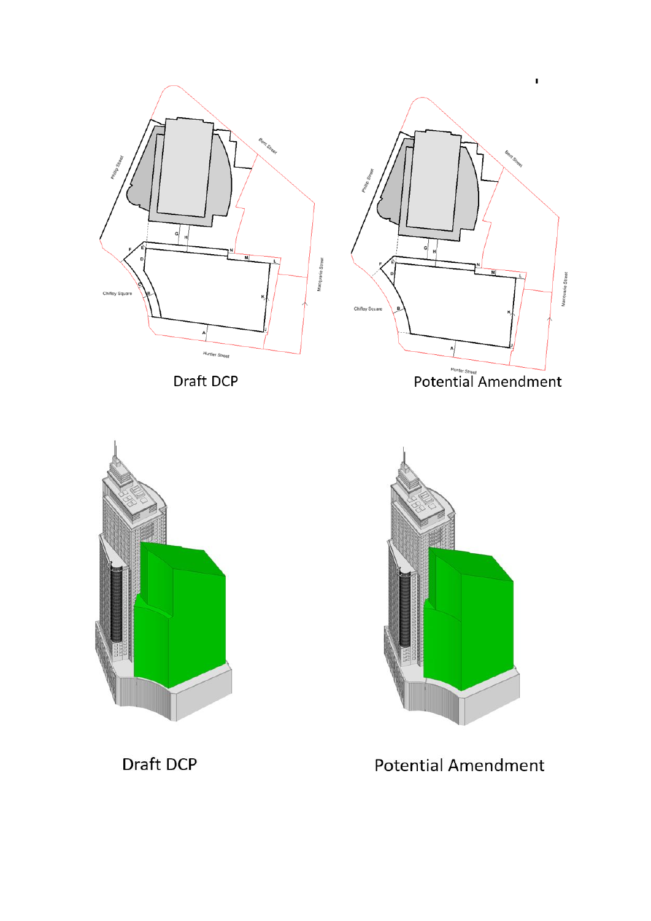

Draft DCP



 $\mathbf{I}$ 





Draft DCP

**Potential Amendment**